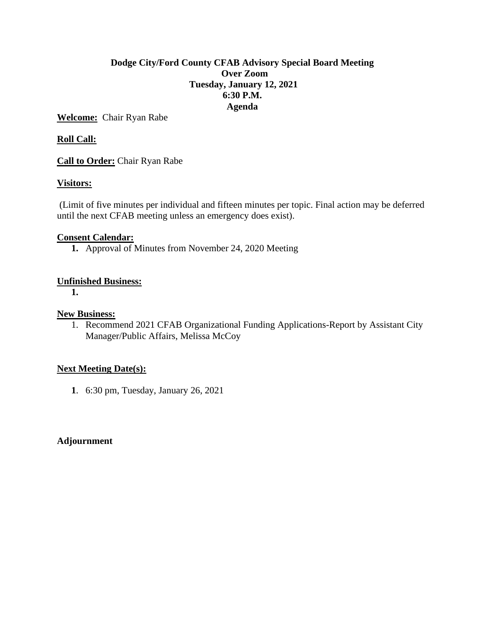# **Dodge City/Ford County CFAB Advisory Special Board Meeting Over Zoom Tuesday, January 12, 2021 6:30 P.M. Agenda**

**Welcome:** Chair Ryan Rabe

# **Roll Call:**

**Call to Order:** Chair Ryan Rabe

# **Visitors:**

(Limit of five minutes per individual and fifteen minutes per topic. Final action may be deferred until the next CFAB meeting unless an emergency does exist).

# **Consent Calendar:**

**1.** Approval of Minutes from November 24, 2020 Meeting

# **Unfinished Business:**

**1.**

#### **New Business:**

1. Recommend 2021 CFAB Organizational Funding Applications-Report by Assistant City Manager/Public Affairs, Melissa McCoy

# **Next Meeting Date(s):**

**1**. 6:30 pm, Tuesday, January 26, 2021

# **Adjournment**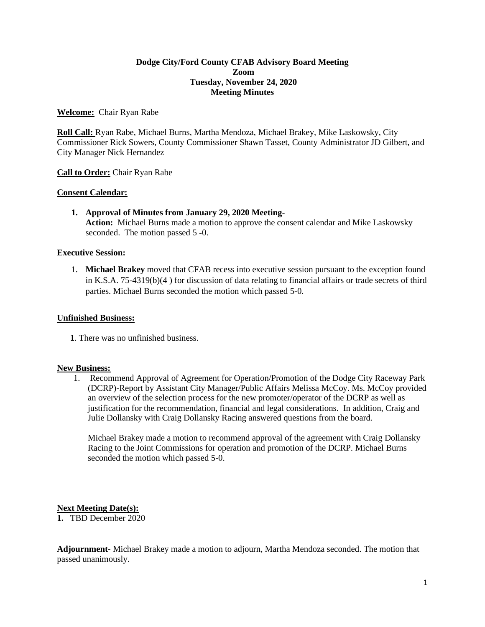#### **Dodge City/Ford County CFAB Advisory Board Meeting Zoom Tuesday, November 24, 2020 Meeting Minutes**

#### **Welcome:** Chair Ryan Rabe

**Roll Call:** Ryan Rabe, Michael Burns, Martha Mendoza, Michael Brakey, Mike Laskowsky, City Commissioner Rick Sowers, County Commissioner Shawn Tasset, County Administrator JD Gilbert, and City Manager Nick Hernandez

#### **Call to Order:** Chair Ryan Rabe

#### **Consent Calendar:**

**1. Approval of Minutes from January 29, 2020 Meeting**-**Action:** Michael Burns made a motion to approve the consent calendar and Mike Laskowsky seconded. The motion passed 5 -0.

#### **Executive Session:**

1. **Michael Brakey** moved that CFAB recess into executive session pursuant to the exception found in K.S.A. 75-4319(b)(4 ) for discussion of data relating to financial affairs or trade secrets of third parties. Michael Burns seconded the motion which passed 5-0.

#### **Unfinished Business:**

**1**. There was no unfinished business.

#### **New Business:**

1. Recommend Approval of Agreement for Operation/Promotion of the Dodge City Raceway Park (DCRP)-Report by Assistant City Manager/Public Affairs Melissa McCoy. Ms. McCoy provided an overview of the selection process for the new promoter/operator of the DCRP as well as justification for the recommendation, financial and legal considerations. In addition, Craig and Julie Dollansky with Craig Dollansky Racing answered questions from the board.

Michael Brakey made a motion to recommend approval of the agreement with Craig Dollansky Racing to the Joint Commissions for operation and promotion of the DCRP. Michael Burns seconded the motion which passed 5-0.

#### **Next Meeting Date(s):**

**1.** TBD December 2020

**Adjournment-** Michael Brakey made a motion to adjourn, Martha Mendoza seconded. The motion that passed unanimously.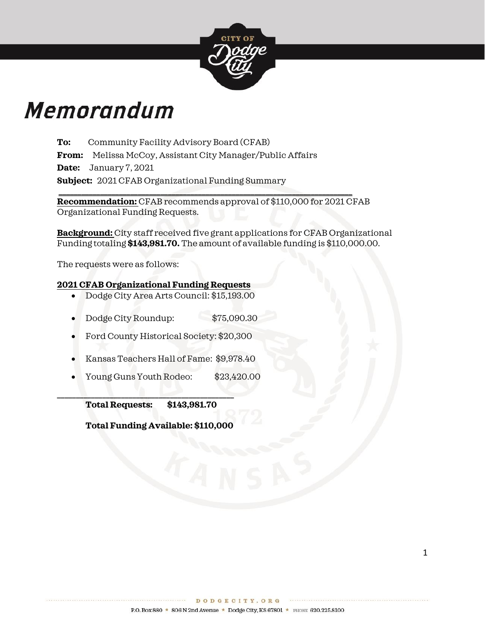

# **Memorandum**

**To:** Community Facility Advisory Board (CFAB) **From:** Melissa McCoy, Assistant City Manager/Public Affairs **Date:** January 7, 2021 **Subject:** 2021 CFAB Organizational Funding Summary **\_\_\_\_\_\_\_\_\_\_\_\_\_\_\_\_\_\_\_\_\_\_\_\_\_\_\_\_\_\_\_\_\_\_\_\_\_\_\_\_\_\_\_\_\_\_\_\_\_\_\_\_\_\_\_\_\_\_\_\_\_\_\_\_\_\_\_\_\_\_\_\_\_\_\_\_\_\_**

**Recommendation:** CFAB recommends approval of \$110,000 for 2021 CFAB Organizational Funding Requests.

**Background:** City staff received five grant applications for CFAB Organizational Funding totaling **\$143,981.70.** The amount of available funding is \$110,000.00.

The requests were as follows:

# **2021 CFAB Organizational Funding Requests**

- Dodge City Area Arts Council: \$15,193.00
- Dodge City Roundup: \$75,090.30
- Ford County Historical Society: \$20,300
- Kansas Teachers Hall of Fame: \$9,978.40
- Young Guns Youth Rodeo: \$23,420.00

**\_\_\_\_\_\_\_\_\_\_\_\_\_\_\_\_\_\_\_\_\_\_\_\_\_\_\_\_\_\_\_\_\_\_\_\_\_\_\_\_\_\_\_\_\_\_\_ Total Requests: \$143,981.70** 

**Total Funding Available: \$110,000**

. . . . . . . . . . . . . . . .

. . . . . . . . . . . . . . . . .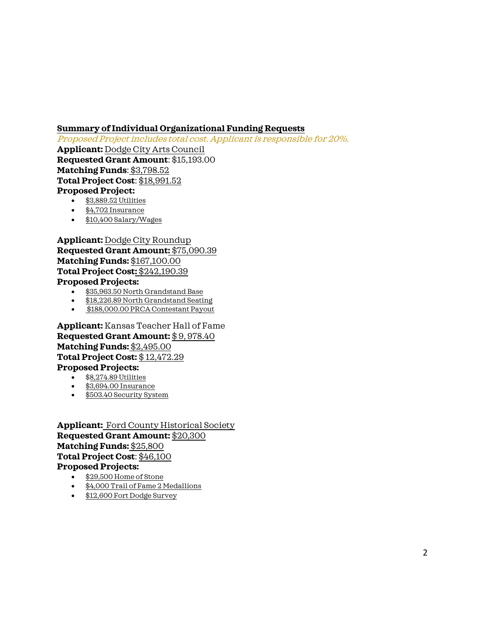# **Summary of Individual Organizational Funding Requests**

Proposed Project includes total cost. Applicant is responsible for 20%.

**Applicant:** Dodge City Arts Council **Requested Grant Amount**: \$15,193.00 **Matching Funds**: \$3,798.52 **Total Project Cost**: \$18,991.52 **Proposed Project:** 

- \$3,889.52 Utilities
- \$4,702 Insurance
- \$10,400 Salary/Wages

**Applicant:** Dodge City Roundup **Requested Grant Amount:** \$75,090.39 **Matching Funds:** \$167,100.00 **Total Project Cost:** \$242,190.39 **Proposed Projects:** 

- \$35,963.50 North Grandstand Base
- \$18,226.89 North Grandstand Seating
- \$188,000.00 PRCA Contestant Payout

**Applicant:** Kansas Teacher Hall of Fame **Requested Grant Amount:** \$ 9, 978.40 **Matching Funds:** \$2,495.00 **Total Project Cost:** \$ 12,472.29 **Proposed Projects:** 

- \$8,274.89 Utilities
- \$3,694.00 Insurance
- \$503.40 Security System

**Applicant:** Ford County Historical Society **Requested Grant Amount:** \$20,300 **Matching Funds:** \$25,800 **Total Project Cost**: \$46,100 **Proposed Projects:** 

- \$29,500 Home of Stone
- \$4,000 Trail of Fame 2 Medallions
- \$12,600 Fort Dodge Survey